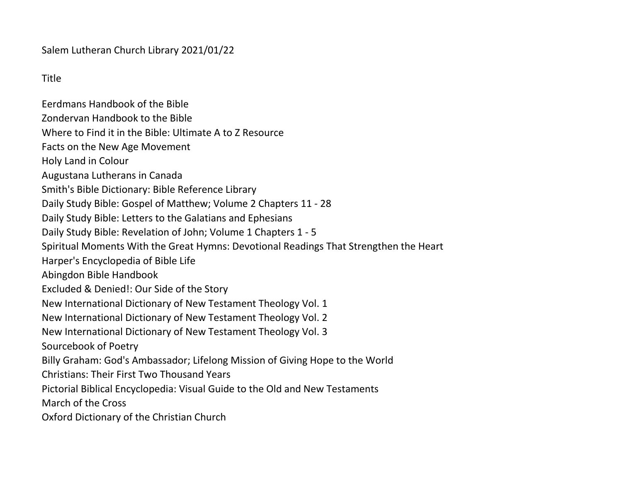Salem Lutheran Church Library 2021/01/22

**Title** 

Eerdmans Handbook of the Bible Zondervan Handbook to the Bible Where to Find it in the Bible: Ultimate A to Z Resource Facts on the New Age Movement Holy Land in Colour Augustana Lutherans in Canada Smith's Bible Dictionary: Bible Reference Library Daily Study Bible: Gospel of Matthew; Volume 2 Chapters 11 - 28 Daily Study Bible: Letters to the Galatians and Ephesians Daily Study Bible: Revelation of John; Volume 1 Chapters 1 - 5 Spiritual Moments With the Great Hymns: Devotional Readings That Strengthen the Heart Harper's Encyclopedia of Bible Life Abingdon Bible Handbook Excluded & Denied!: Our Side of the Story New International Dictionary of New Testament Theology Vol. 1 New International Dictionary of New Testament Theology Vol. 2 New International Dictionary of New Testament Theology Vol. 3 Sourcebook of Poetry Billy Graham: God's Ambassador; Lifelong Mission of Giving Hope to the World Christians: Their First Two Thousand Years Pictorial Biblical Encyclopedia: Visual Guide to the Old and New Testaments March of the Cross Oxford Dictionary of the Christian Church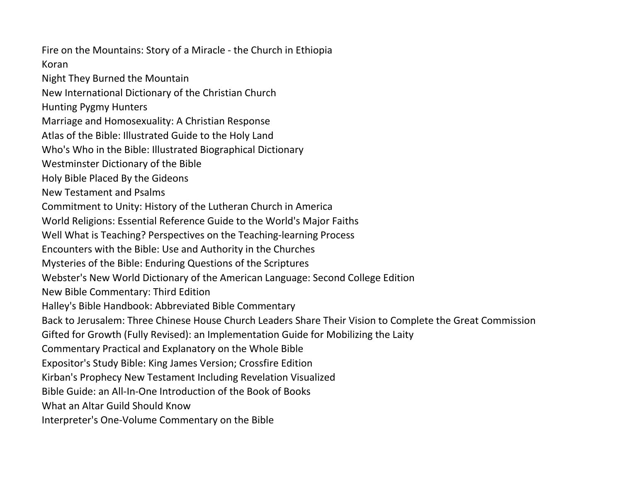Fire on the Mountains: Story of a Miracle - the Church in Ethiopia Koran Night They Burned the Mountain New International Dictionary of the Christian Church Hunting Pygmy Hunters Marriage and Homosexuality: A Christian Response Atlas of the Bible: Illustrated Guide to the Holy Land Who's Who in the Bible: Illustrated Biographical Dictionary Westminster Dictionary of the Bible Holy Bible Placed By the Gideons New Testament and Psalms Commitment to Unity: History of the Lutheran Church in America World Religions: Essential Reference Guide to the World's Major Faiths Well What is Teaching? Perspectives on the Teaching-learning Process Encounters with the Bible: Use and Authority in the Churches Mysteries of the Bible: Enduring Questions of the Scriptures Webster's New World Dictionary of the American Language: Second College Edition New Bible Commentary: Third Edition Halley's Bible Handbook: Abbreviated Bible Commentary Back to Jerusalem: Three Chinese House Church Leaders Share Their Vision to Complete the Great Commission Gifted for Growth (Fully Revised): an Implementation Guide for Mobilizing the Laity Commentary Practical and Explanatory on the Whole Bible Expositor's Study Bible: King James Version; Crossfire Edition Kirban's Prophecy New Testament Including Revelation Visualized Bible Guide: an All-In-One Introduction of the Book of Books What an Altar Guild Should Know Interpreter's One-Volume Commentary on the Bible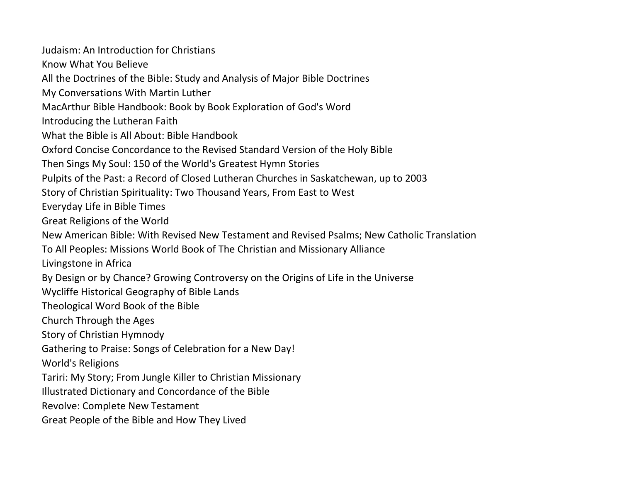Judaism: An Introduction for Christians Know What You Believe All the Doctrines of the Bible: Study and Analysis of Major Bible Doctrines My Conversations With Martin Luther MacArthur Bible Handbook: Book by Book Exploration of God's Word Introducing the Lutheran Faith What the Bible is All About: Bible Handbook Oxford Concise Concordance to the Revised Standard Version of the Holy Bible Then Sings My Soul: 150 of the World's Greatest Hymn Stories Pulpits of the Past: a Record of Closed Lutheran Churches in Saskatchewan, up to 2003 Story of Christian Spirituality: Two Thousand Years, From East to West Everyday Life in Bible Times Great Religions of the World New American Bible: With Revised New Testament and Revised Psalms; New Catholic Translation To All Peoples: Missions World Book of The Christian and Missionary Alliance Livingstone in Africa By Design or by Chance? Growing Controversy on the Origins of Life in the Universe Wycliffe Historical Geography of Bible Lands Theological Word Book of the Bible Church Through the Ages Story of Christian Hymnody Gathering to Praise: Songs of Celebration for a New Day! World's Religions Tariri: My Story; From Jungle Killer to Christian Missionary Illustrated Dictionary and Concordance of the Bible Revolve: Complete New Testament Great People of the Bible and How They Lived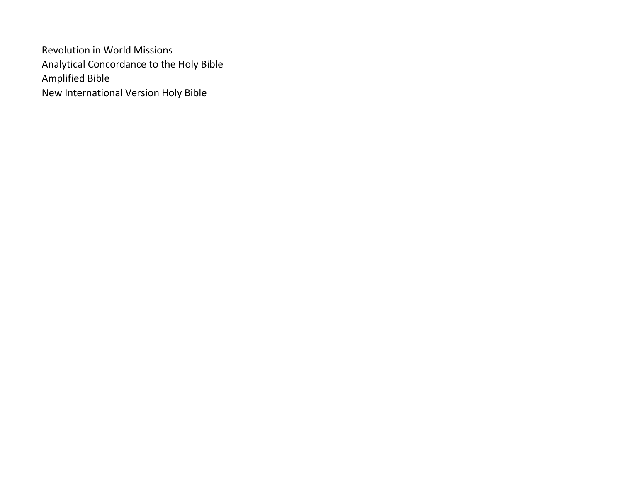Revolution in World Missions Analytical Concordance to the Holy Bible Amplified Bible New International Version Holy Bible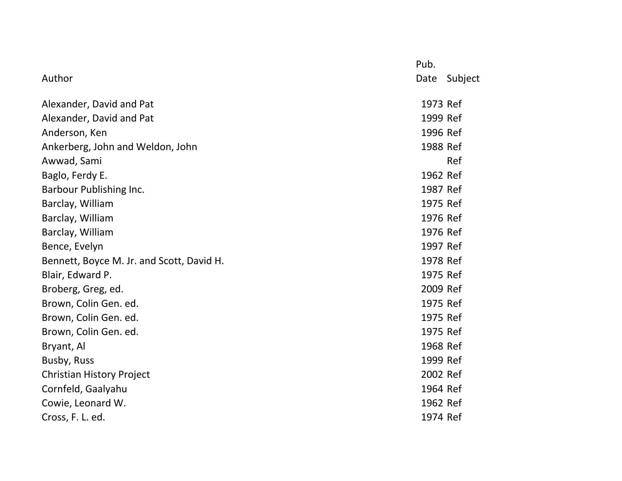|                                           | Pub.     |         |
|-------------------------------------------|----------|---------|
| Author                                    | Date     | Subject |
| Alexander, David and Pat                  | 1973 Ref |         |
| Alexander, David and Pat                  | 1999 Ref |         |
| Anderson, Ken                             | 1996 Ref |         |
| Ankerberg, John and Weldon, John          | 1988 Ref |         |
| Awwad, Sami                               |          | Ref     |
| Baglo, Ferdy E.                           | 1962 Ref |         |
| Barbour Publishing Inc.                   | 1987 Ref |         |
| Barclay, William                          | 1975 Ref |         |
| Barclay, William                          | 1976 Ref |         |
| Barclay, William                          | 1976 Ref |         |
| Bence, Evelyn                             | 1997 Ref |         |
| Bennett, Boyce M. Jr. and Scott, David H. | 1978 Ref |         |
| Blair, Edward P.                          | 1975 Ref |         |
| Broberg, Greg, ed.                        | 2009 Ref |         |
| Brown, Colin Gen. ed.                     | 1975 Ref |         |
| Brown, Colin Gen. ed.                     | 1975 Ref |         |
| Brown, Colin Gen. ed.                     | 1975 Ref |         |
| Bryant, Al                                | 1968 Ref |         |
| Busby, Russ                               | 1999 Ref |         |
| <b>Christian History Project</b>          | 2002 Ref |         |
| Cornfeld, Gaalyahu                        | 1964 Ref |         |
| Cowie, Leonard W.                         | 1962 Ref |         |
| Cross, F. L. ed.                          | 1974 Ref |         |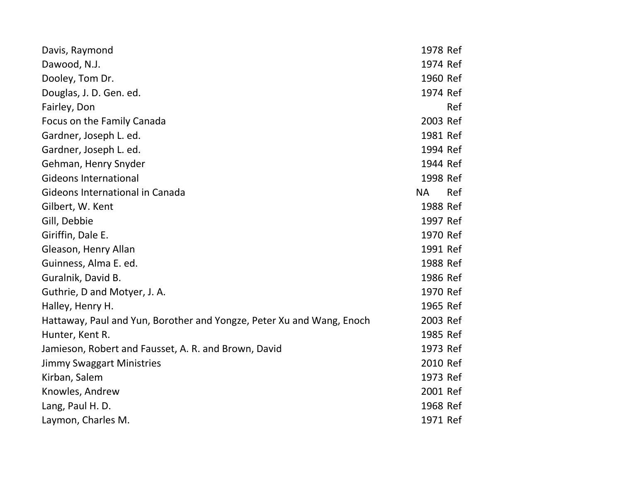| Davis, Raymond                                                        | 1978 Ref  |     |
|-----------------------------------------------------------------------|-----------|-----|
| Dawood, N.J.                                                          | 1974 Ref  |     |
| Dooley, Tom Dr.                                                       | 1960 Ref  |     |
| Douglas, J. D. Gen. ed.                                               | 1974 Ref  |     |
| Fairley, Don                                                          |           | Ref |
| Focus on the Family Canada                                            | 2003 Ref  |     |
| Gardner, Joseph L. ed.                                                | 1981 Ref  |     |
| Gardner, Joseph L. ed.                                                | 1994 Ref  |     |
| Gehman, Henry Snyder                                                  | 1944 Ref  |     |
| <b>Gideons International</b>                                          | 1998 Ref  |     |
| Gideons International in Canada                                       | <b>NA</b> | Ref |
| Gilbert, W. Kent                                                      | 1988 Ref  |     |
| Gill, Debbie                                                          | 1997 Ref  |     |
| Giriffin, Dale E.                                                     | 1970 Ref  |     |
| Gleason, Henry Allan                                                  | 1991 Ref  |     |
| Guinness, Alma E. ed.                                                 | 1988 Ref  |     |
| Guralnik, David B.                                                    | 1986 Ref  |     |
| Guthrie, D and Motyer, J. A.                                          | 1970 Ref  |     |
| Halley, Henry H.                                                      | 1965 Ref  |     |
| Hattaway, Paul and Yun, Borother and Yongze, Peter Xu and Wang, Enoch | 2003 Ref  |     |
| Hunter, Kent R.                                                       | 1985 Ref  |     |
| Jamieson, Robert and Fausset, A. R. and Brown, David                  | 1973 Ref  |     |
| <b>Jimmy Swaggart Ministries</b>                                      | 2010 Ref  |     |
| Kirban, Salem                                                         | 1973 Ref  |     |
| Knowles, Andrew                                                       | 2001 Ref  |     |
| Lang, Paul H. D.                                                      | 1968 Ref  |     |
| Laymon, Charles M.                                                    | 1971 Ref  |     |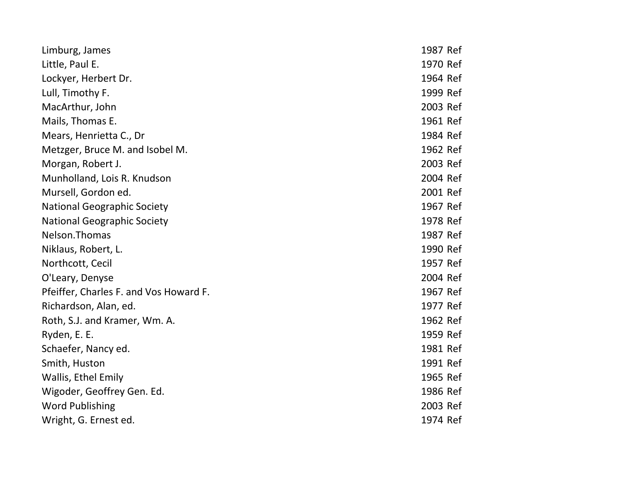| Limburg, James                         | 1987 Ref |
|----------------------------------------|----------|
| Little, Paul E.                        | 1970 Ref |
| Lockyer, Herbert Dr.                   | 1964 Ref |
| Lull, Timothy F.                       | 1999 Ref |
| MacArthur, John                        | 2003 Ref |
| Mails, Thomas E.                       | 1961 Ref |
| Mears, Henrietta C., Dr                | 1984 Ref |
| Metzger, Bruce M. and Isobel M.        | 1962 Ref |
| Morgan, Robert J.                      | 2003 Ref |
| Munholland, Lois R. Knudson            | 2004 Ref |
| Mursell, Gordon ed.                    | 2001 Ref |
| <b>National Geographic Society</b>     | 1967 Ref |
| <b>National Geographic Society</b>     | 1978 Ref |
| Nelson. Thomas                         | 1987 Ref |
| Niklaus, Robert, L.                    | 1990 Ref |
| Northcott, Cecil                       | 1957 Ref |
| O'Leary, Denyse                        | 2004 Ref |
| Pfeiffer, Charles F. and Vos Howard F. | 1967 Ref |
| Richardson, Alan, ed.                  | 1977 Ref |
| Roth, S.J. and Kramer, Wm. A.          | 1962 Ref |
| Ryden, E. E.                           | 1959 Ref |
| Schaefer, Nancy ed.                    | 1981 Ref |
| Smith, Huston                          | 1991 Ref |
| <b>Wallis, Ethel Emily</b>             | 1965 Ref |
| Wigoder, Geoffrey Gen. Ed.             | 1986 Ref |
| <b>Word Publishing</b>                 | 2003 Ref |
| Wright, G. Ernest ed.                  | 1974 Ref |